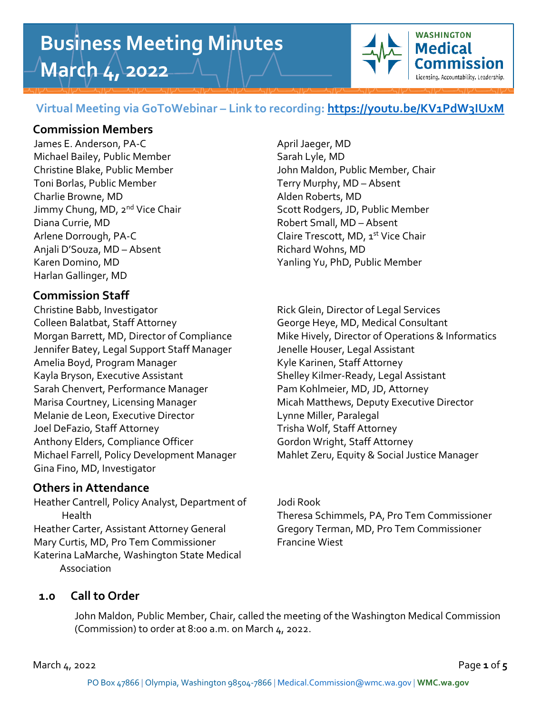# **Business Meeting Minutes March 4, 2022**



## **Virtual Meeting via GoToWebinar – Link to recording:<https://youtu.be/KV1PdW3IUxM>**

#### **Commission Members**

James E. Anderson, PA-C April Jaeger, MD Michael Bailey, Public Member Sarah Lyle, MD Toni Borlas, Public Member Terry Murphy, MD – Absent Charlie Browne, MD Alden Roberts, MD Diana Currie, MD **Robert Small**, MD – Absent Arlene Dorrough, PA-C and the Claire Trescott, MD, 1st Vice Chair Anjali D'Souza, MD – Absent Richard Wohns, MD Karen Domino, MD Yanling Yu, PhD, Public Member Harlan Gallinger, MD

# **Commission Staff**

Christine Babb, Investigator **Rick Glein, Director of Legal Services** Colleen Balatbat, Staff Attorney George Heye, MD, Medical Consultant Jennifer Batey, Legal Support Staff Manager Jenelle Houser, Legal Assistant Amelia Boyd, Program Manager Kyle Karinen, Staff Attorney Kayla Bryson, Executive Assistant Shelley Kilmer-Ready, Legal Assistant Sarah Chenvert, Performance Manager Pam Kohlmeier, MD, JD, Attorney Marisa Courtney, Licensing Manager Micah Matthews, Deputy Executive Director Melanie de Leon, Executive Director Francisco Lynne Miller, Paralegal Joel DeFazio, Staff Attorney Trisha Wolf, Staff Attorney Anthony Elders, Compliance Officer Gordon Wright, Staff Attorney Michael Farrell, Policy Development Manager Mahlet Zeru, Equity & Social Justice Manager Gina Fino, MD, Investigator

# **Others in Attendance**

Heather Cantrell, Policy Analyst, Department of Jodi Rook Heather Carter, Assistant Attorney General Gregory Terman, MD, Pro Tem Commissioner Mary Curtis, MD, Pro Tem Commissioner Francine Wiest Katerina LaMarche, Washington State Medical Association

Christine Blake, Public Member John Maldon, Public Member, Chair Jimmy Chung, MD, 2<sup>nd</sup> Vice Chair Scott Rodgers, JD, Public Member

Morgan Barrett, MD, Director of Compliance Mike Hively, Director of Operations & Informatics

# Health Theresa Schimmels, PA, Pro Tem Commissioner

# **1.0 Call to Order**

John Maldon, Public Member, Chair, called the meeting of the Washington Medical Commission (Commission) to order at 8:00 a.m. on March 4, 2022.

March 4, 2022 Page **1** of **5**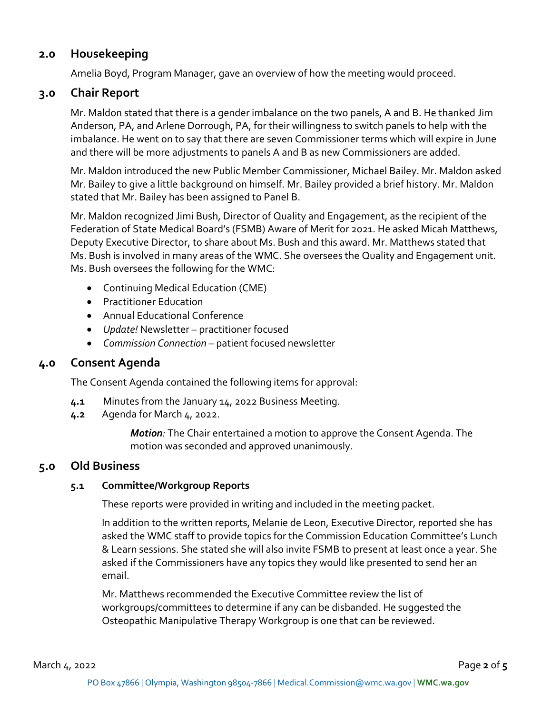# **2.0 Housekeeping**

Amelia Boyd, Program Manager, gave an overview of how the meeting would proceed.

# **3.0 Chair Report**

Mr. Maldon stated that there is a gender imbalance on the two panels, A and B. He thanked Jim Anderson, PA, and Arlene Dorrough, PA, for their willingness to switch panels to help with the imbalance. He went on to say that there are seven Commissioner terms which will expire in June and there will be more adjustments to panels A and B as new Commissioners are added.

Mr. Maldon introduced the new Public Member Commissioner, Michael Bailey. Mr. Maldon asked Mr. Bailey to give a little background on himself. Mr. Bailey provided a brief history. Mr. Maldon stated that Mr. Bailey has been assigned to Panel B.

Mr. Maldon recognized Jimi Bush, Director of Quality and Engagement, as the recipient of the Federation of State Medical Board's (FSMB) Aware of Merit for 2021. He asked Micah Matthews, Deputy Executive Director, to share about Ms. Bush and this award. Mr. Matthews stated that Ms. Bush is involved in many areas of the WMC. She oversees the Quality and Engagement unit. Ms. Bush oversees the following for the WMC:

- Continuing Medical Education (CME)
- Practitioner Education
- Annual Educational Conference
- *Update!* Newsletter practitioner focused
- *Commission Connection* patient focused newsletter

#### **4.0 Consent Agenda**

The Consent Agenda contained the following items for approval:

- **4.1** Minutes from the January 14, 2022 Business Meeting.
- **4.2** Agenda for March 4, 2022.

*Motion:* The Chair entertained a motion to approve the Consent Agenda. The motion was seconded and approved unanimously.

#### **5.0 Old Business**

#### **5.1 Committee/Workgroup Reports**

These reports were provided in writing and included in the meeting packet.

In addition to the written reports, Melanie de Leon, Executive Director, reported she has asked the WMC staff to provide topics for the Commission Education Committee's Lunch & Learn sessions. She stated she will also invite FSMB to present at least once a year. She asked if the Commissioners have any topics they would like presented to send her an email.

Mr. Matthews recommended the Executive Committee review the list of workgroups/committees to determine if any can be disbanded. He suggested the Osteopathic Manipulative Therapy Workgroup is one that can be reviewed.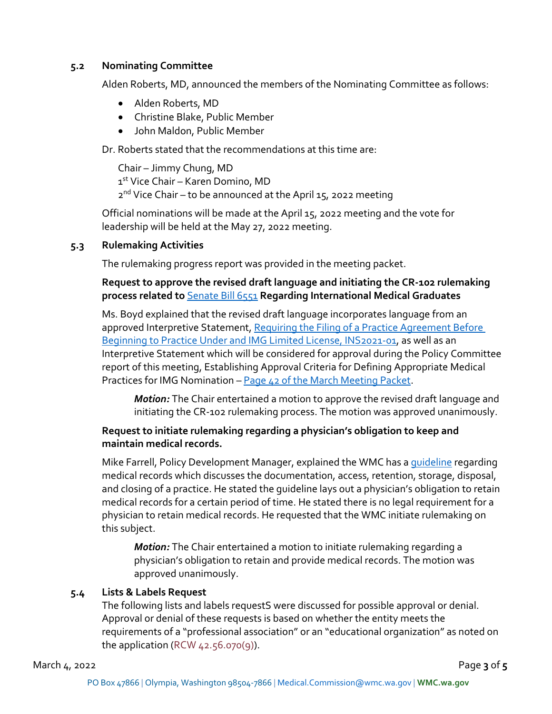#### **5.2 Nominating Committee**

Alden Roberts, MD, announced the members of the Nominating Committee as follows:

- Alden Roberts, MD
- Christine Blake, Public Member
- John Maldon, Public Member

Dr. Roberts stated that the recommendations at this time are:

Chair – Jimmy Chung, MD 1st Vice Chair – Karen Domino, MD 2<sup>nd</sup> Vice Chair – to be announced at the April 15, 2022 meeting

Official nominations will be made at the April 15, 2022 meeting and the vote for leadership will be held at the May 27, 2022 meeting.

#### **5.3 Rulemaking Activities**

The rulemaking progress report was provided in the meeting packet.

#### **Request to approve the revised draft language and initiating the CR-102 rulemaking process related to** [Senate Bill 6551](https://lawfilesext.leg.wa.gov/biennium/2019-20/Pdf/Bills/Senate%20Passed%20Legislature/6551.PL.pdf?q=20200506170527) **Regarding International Medical Graduates**

Ms. Boyd explained that the revised draft language incorporates language from an approved Interpretive Statement, [Requiring the Filing of a Practice Agreement Before](https://wmc.wa.gov/sites/default/files/public/Notice%20of%20Adoption%20and%20Interpretive%20Statement%20Jan%202022.pdf)  [Beginning to Practice Under and IMG Limited License, INS2021-01,](https://wmc.wa.gov/sites/default/files/public/Notice%20of%20Adoption%20and%20Interpretive%20Statement%20Jan%202022.pdf) as well as an Interpretive Statement which will be considered for approval during the Policy Committee report of this meeting, Establishing Approval Criteria for Defining Appropriate Medical Practices for IMG Nomination – [Page 42 of the March Meeting Packet.](https://wmc.wa.gov/sites/default/files/WMC%20March%202022%20Mtg%20Pkt_0.pdf)

*Motion:* The Chair entertained a motion to approve the revised draft language and initiating the CR-102 rulemaking process. The motion was approved unanimously.

#### **Request to initiate rulemaking regarding a physician's obligation to keep and maintain medical records.**

Mike Farrell, Policy Development Manager, explained the WMC has a [guideline](https://wmc.wa.gov/sites/default/files/public/Medical%20Records.pdf) regarding medical records which discusses the documentation, access, retention, storage, disposal, and closing of a practice. He stated the guideline lays out a physician's obligation to retain medical records for a certain period of time. He stated there is no legal requirement for a physician to retain medical records. He requested that the WMC initiate rulemaking on this subject.

*Motion:* The Chair entertained a motion to initiate rulemaking regarding a physician's obligation to retain and provide medical records. The motion was approved unanimously.

#### **5.4 Lists & Labels Request**

The following lists and labels requestS were discussed for possible approval or denial. Approval or denial of these requests is based on whether the entity meets the requirements of a "professional association" or an "educational organization" as noted on the application (RCW  $42.56.070(9)$ ).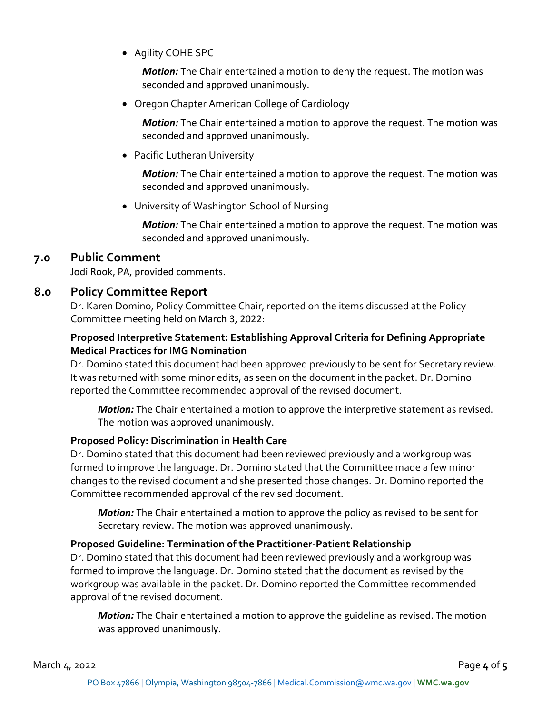• Agility COHE SPC

*Motion:* The Chair entertained a motion to deny the request. The motion was seconded and approved unanimously.

• Oregon Chapter American College of Cardiology

*Motion:* The Chair entertained a motion to approve the request. The motion was seconded and approved unanimously.

• Pacific Lutheran University

*Motion:* The Chair entertained a motion to approve the request. The motion was seconded and approved unanimously.

• University of Washington School of Nursing

*Motion:* The Chair entertained a motion to approve the request. The motion was seconded and approved unanimously.

#### **7.0 Public Comment**

Jodi Rook, PA, provided comments.

### **8.0 Policy Committee Report**

Dr. Karen Domino, Policy Committee Chair, reported on the items discussed at the Policy Committee meeting held on March 3, 2022:

#### **Proposed Interpretive Statement: Establishing Approval Criteria for Defining Appropriate Medical Practices for IMG Nomination**

Dr. Domino stated this document had been approved previously to be sent for Secretary review. It was returned with some minor edits, as seen on the document in the packet. Dr. Domino reported the Committee recommended approval of the revised document.

*Motion:* The Chair entertained a motion to approve the interpretive statement as revised. The motion was approved unanimously.

#### **Proposed Policy: Discrimination in Health Care**

Dr. Domino stated that this document had been reviewed previously and a workgroup was formed to improve the language. Dr. Domino stated that the Committee made a few minor changes to the revised document and she presented those changes. Dr. Domino reported the Committee recommended approval of the revised document.

*Motion:* The Chair entertained a motion to approve the policy as revised to be sent for Secretary review. The motion was approved unanimously.

#### **Proposed Guideline: Termination of the Practitioner-Patient Relationship**

Dr. Domino stated that this document had been reviewed previously and a workgroup was formed to improve the language. Dr. Domino stated that the document as revised by the workgroup was available in the packet. Dr. Domino reported the Committee recommended approval of the revised document.

*Motion:* The Chair entertained a motion to approve the guideline as revised. The motion was approved unanimously.